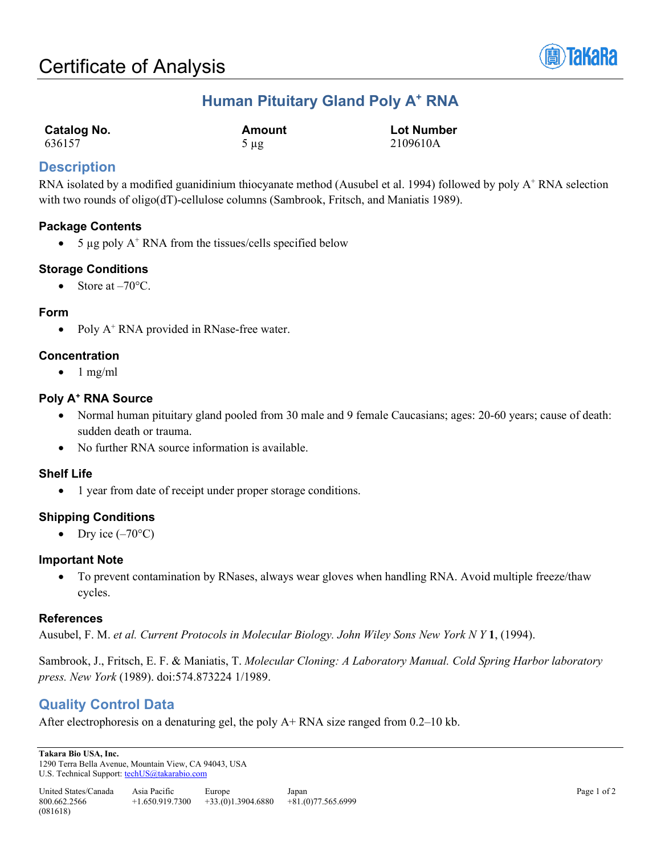

# **Human Pituitary Gland Poly A+ RNA**

| Catalog No. | Amount    | <b>Lot Number</b> |
|-------------|-----------|-------------------|
| 636157      | $5 \mu$ g | 2109610A          |

# **Description**

RNA isolated by a modified guanidinium thiocyanate method (Ausubel et al. 1994) followed by poly  $A^+$  RNA selection with two rounds of oligo(dT)-cellulose columns (Sambrook, Fritsch, and Maniatis 1989).

# **Package Contents**

• 5  $\mu$ g poly A<sup>+</sup> RNA from the tissues/cells specified below

# **Storage Conditions**

• Store at  $-70^{\circ}$ C.

# **Form**

• Poly  $A^+$  RNA provided in RNase-free water.

# **Concentration**

 $\bullet$  1 mg/ml

# **Poly A+ RNA Source**

- Normal human pituitary gland pooled from 30 male and 9 female Caucasians; ages: 20-60 years; cause of death: sudden death or trauma.
- No further RNA source information is available.

# **Shelf Life**

• 1 year from date of receipt under proper storage conditions.

# **Shipping Conditions**

• Dry ice  $(-70^{\circ}C)$ 

#### **Important Note**

• To prevent contamination by RNases, always wear gloves when handling RNA. Avoid multiple freeze/thaw cycles.

# **References**

Ausubel, F. M. *et al. Current Protocols in Molecular Biology. John Wiley Sons New York N Y* **1**, (1994).

Sambrook, J., Fritsch, E. F. & Maniatis, T. *Molecular Cloning: A Laboratory Manual. Cold Spring Harbor laboratory press. New York* (1989). doi:574.873224 1/1989.

# **Quality Control Data**

After electrophoresis on a denaturing gel, the poly A+ RNA size ranged from 0.2–10 kb.

**Takara Bio USA, Inc.**  1290 Terra Bella Avenue, Mountain View, CA 94043, USA U.S. Technical Support[: techUS@takarabio.com](mailto:techUS@takarabio.com)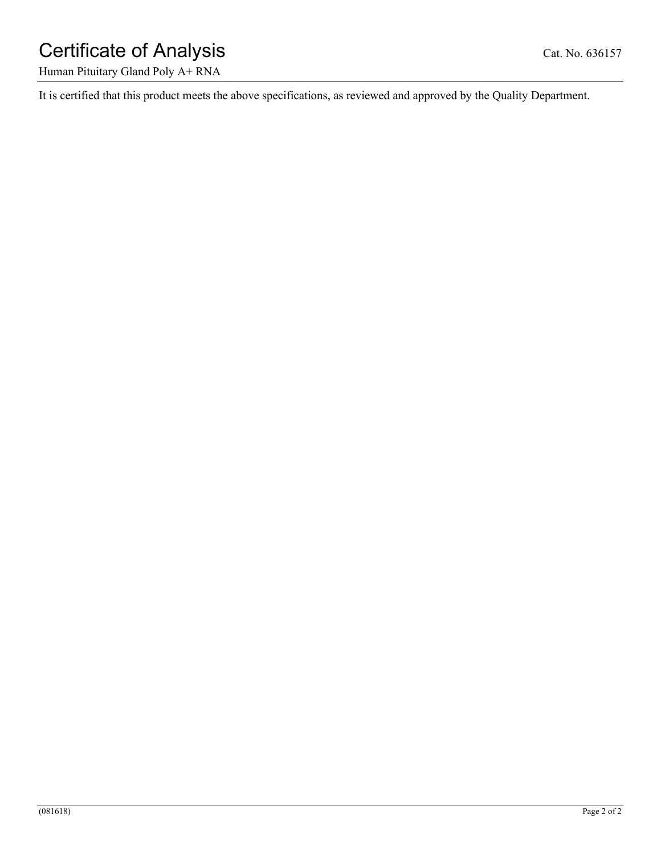# Certificate of Analysis Cat. No. 636157

Human Pituitary Gland Poly A+ RNA

It is certified that this product meets the above specifications, as reviewed and approved by the Quality Department.